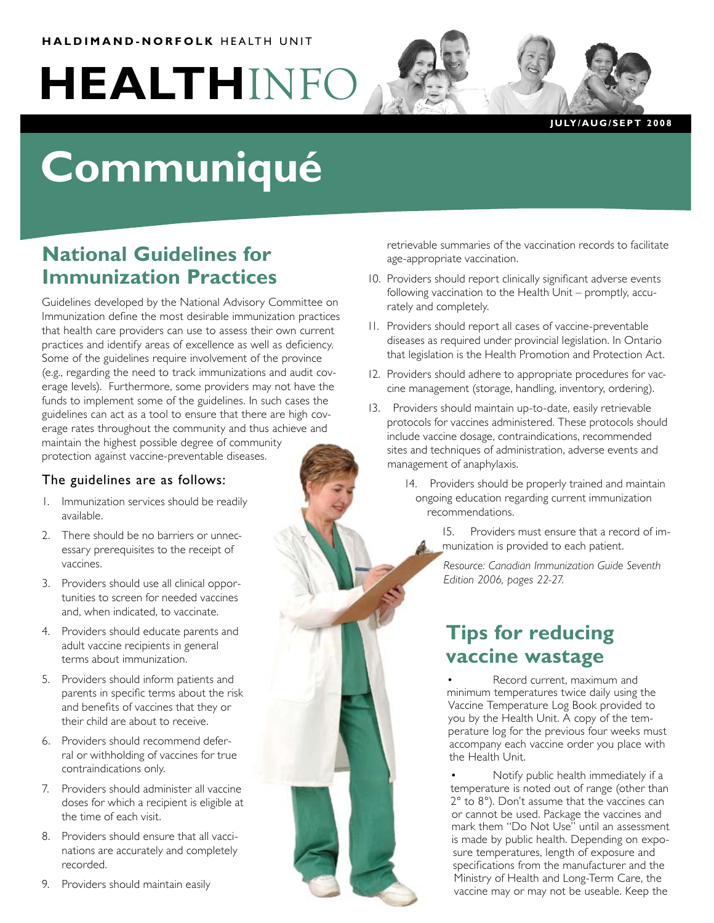### **haldimand-norfolk** HEALTH UNIT

# **HEALTH**INFO

**july/aug/sep t 2008**

## **Communiqué**

## **National Guidelines for Immunization Practices**

Guidelines developed by the National Advisory Committee on Immunization define the most desirable immunization practices that health care providers can use to assess their own current practices and identify areas of excellence as well as deficiency. Some of the guidelines require involvement of the province (e.g., regarding the need to track immunizations and audit coverage levels). Furthermore, some providers may not have the funds to implement some of the guidelines. In such cases the guidelines can act as a tool to ensure that there are high coverage rates throughout the community and thus achieve and maintain the highest possible degree of community protection against vaccine-preventable diseases.

### The guidelines are as follows:

- 1. Immunization services should be readily available.
- 2. There should be no barriers or unnecessary prerequisites to the receipt of vaccines.
- 3. Providers should use all clinical opportunities to screen for needed vaccines and, when indicated, to vaccinate.
- 4. Providers should educate parents and adult vaccine recipients in general terms about immunization.
- 5. Providers should inform patients and parents in specific terms about the risk and benefits of vaccines that they or their child are about to receive.
- 6. Providers should recommend deferral or withholding of vaccines for true contraindications only.
- 7. Providers should administer all vaccine doses for which a recipient is eligible at the time of each visit.
- 8. Providers should ensure that all vaccinations are accurately and completely recorded.
- 9. Providers should maintain easily

retrievable summaries of the vaccination records to facilitate age-appropriate vaccination.

- 10. Providers should report clinically significant adverse events following vaccination to the Health Unit – promptly, accurately and completely.
- 11. Providers should report all cases of vaccine-preventable diseases as required under provincial legislation. In Ontario that legislation is the Health Promotion and Protection Act.
- 12. Providers should adhere to appropriate procedures for vaccine management (storage, handling, inventory, ordering).
- 13. Providers should maintain up-to-date, easily retrievable protocols for vaccines administered. These protocols should include vaccine dosage, contraindications, recommended sites and techniques of administration, adverse events and management of anaphylaxis.
	- 14. Providers should be properly trained and maintain ongoing education regarding current immunization recommendations.
		- 15. Providers must ensure that a record of immunization is provided to each patient.

*Resource: Canadian Immunization Guide Seventh Edition 2006, pages 22-27.*

## **Tips for reducing vaccine wastage**

Record current, maximum and minimum temperatures twice daily using the Vaccine Temperature Log Book provided to you by the Health Unit. A copy of the temperature log for the previous four weeks must accompany each vaccine order you place with the Health Unit.

Notify public health immediately if a temperature is noted out of range (other than 2° to 8°). Don't assume that the vaccines can or cannot be used. Package the vaccines and mark them "Do Not Use" until an assessment is made by public health. Depending on exposure temperatures, length of exposure and specifications from the manufacturer and the Ministry of Health and Long-Term Care, the vaccine may or may not be useable. Keep the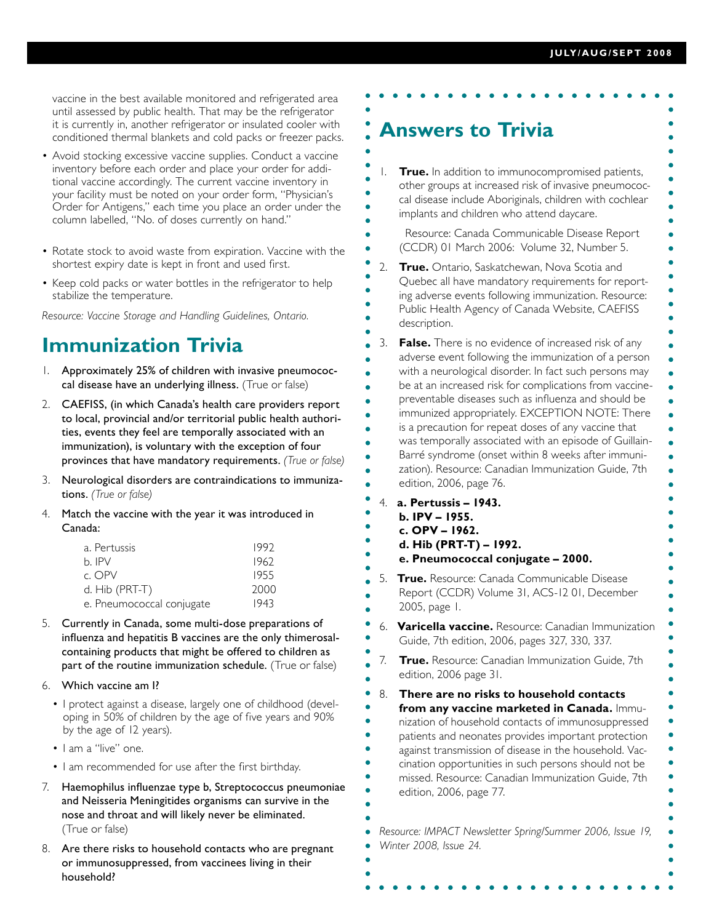vaccine in the best available monitored and refrigerated area until assessed by public health. That may be the refrigerator it is currently in, another refrigerator or insulated cooler with conditioned thermal blankets and cold packs or freezer packs.

- Avoid stocking excessive vaccine supplies. Conduct a vaccine inventory before each order and place your order for additional vaccine accordingly. The current vaccine inventory in your facility must be noted on your order form, "Physician's Order for Antigens," each time you place an order under the column labelled, "No. of doses currently on hand."
- Rotate stock to avoid waste from expiration. Vaccine with the shortest expiry date is kept in front and used first.
- Keep cold packs or water bottles in the refrigerator to help stabilize the temperature.

*Resource: Vaccine Storage and Handling Guidelines, Ontario.*

## **Immunization Trivia**

- 1. Approximately 25% of children with invasive pneumococcal disease have an underlying illness. (True or false)
- 2. CAEFISS, (in which Canada's health care providers report to local, provincial and/or territorial public health authorities, events they feel are temporally associated with an immunization), is voluntary with the exception of four provinces that have mandatory requirements. *(True or false)*
- 3. Neurological disorders are contraindications to immunizations. *(True or false)*
- 4. Match the vaccine with the year it was introduced in Canada:

| a. Pertussis              | 1992 |
|---------------------------|------|
| b. IPV                    | 1962 |
| c. OPV                    | 1955 |
| d. Hib $(PRT-T)$          | 2000 |
| e. Pneumococcal conjugate | 1943 |

- 5. Currently in Canada, some multi-dose preparations of influenza and hepatitis B vaccines are the only thimerosalcontaining products that might be offered to children as part of the routine immunization schedule. (True or false)
- 6. Which vaccine am I?
	- I protect against a disease, largely one of childhood (developing in 50% of children by the age of five years and 90% by the age of 12 years).
	- I am a "live" one.
	- I am recommended for use after the first birthday.
- 7. Haemophilus influenzae type b, Streptococcus pneumoniae and Neisseria Meningitides organisms can survive in the nose and throat and will likely never be eliminated. (True or false)
- 8. Are there risks to household contacts who are pregnant or immunosuppressed, from vaccinees living in their household?

|    | <b>Answers to Trivia</b>                                                                                                                                                                                                                                                                                                                                                                                                                                                                                                                                                                              |
|----|-------------------------------------------------------------------------------------------------------------------------------------------------------------------------------------------------------------------------------------------------------------------------------------------------------------------------------------------------------------------------------------------------------------------------------------------------------------------------------------------------------------------------------------------------------------------------------------------------------|
| Ι. | True. In addition to immunocompromised patients,<br>other groups at increased risk of invasive pneumococ-<br>cal disease include Aboriginals, children with cochlear<br>implants and children who attend daycare.                                                                                                                                                                                                                                                                                                                                                                                     |
|    | Resource: Canada Communicable Disease Report<br>(CCDR) 01 March 2006: Volume 32, Number 5.                                                                                                                                                                                                                                                                                                                                                                                                                                                                                                            |
| 2. | True. Ontario, Saskatchewan, Nova Scotia and<br>Quebec all have mandatory requirements for report-<br>ing adverse events following immunization. Resource:<br>Public Health Agency of Canada Website, CAEFISS<br>description.                                                                                                                                                                                                                                                                                                                                                                         |
| 3. | False. There is no evidence of increased risk of any<br>adverse event following the immunization of a person<br>with a neurological disorder. In fact such persons may<br>be at an increased risk for complications from vaccine-<br>preventable diseases such as influenza and should be<br>immunized appropriately. EXCEPTION NOTE: There<br>is a precaution for repeat doses of any vaccine that<br>was temporally associated with an episode of Guillain-<br>Barré syndrome (onset within 8 weeks after immuni-<br>zation). Resource: Canadian Immunization Guide, 7th<br>edition, 2006, page 76. |
| 4. | a. Pertussis - 1943.<br>b. IPV - 1955.<br>c. OPV - 1962.<br>d. Hib (PRT-T) - 1992.<br>e. Pneumococcal conjugate - 2000.                                                                                                                                                                                                                                                                                                                                                                                                                                                                               |
| 5. | True. Resource: Canada Communicable Disease<br>Report (CCDR) Volume 3I, ACS-12 0I, December<br>2005, page 1.                                                                                                                                                                                                                                                                                                                                                                                                                                                                                          |
| 6. | Varicella vaccine. Resource: Canadian Immunization<br>Guide, 7th edition, 2006, pages 327, 330, 337.                                                                                                                                                                                                                                                                                                                                                                                                                                                                                                  |
| 7. | True. Resource: Canadian Immunization Guide, 7th<br>edition, 2006 page 31.                                                                                                                                                                                                                                                                                                                                                                                                                                                                                                                            |
| 8. | There are no risks to household contacts<br>from any vaccine marketed in Canada. Immu-<br>nization of household contacts of immunosuppressed<br>patients and neonates provides important protection<br>against transmission of disease in the household. Vac-<br>cination opportunities in such persons should not be<br>missed. Resource: Canadian Immunization Guide, 7th<br>edition, 2006, page 77.                                                                                                                                                                                                |
|    | Resource: IMPACT Newsletter Spring/Summer 2006, Issue 19,<br>Winter 2008, Issue 24.                                                                                                                                                                                                                                                                                                                                                                                                                                                                                                                   |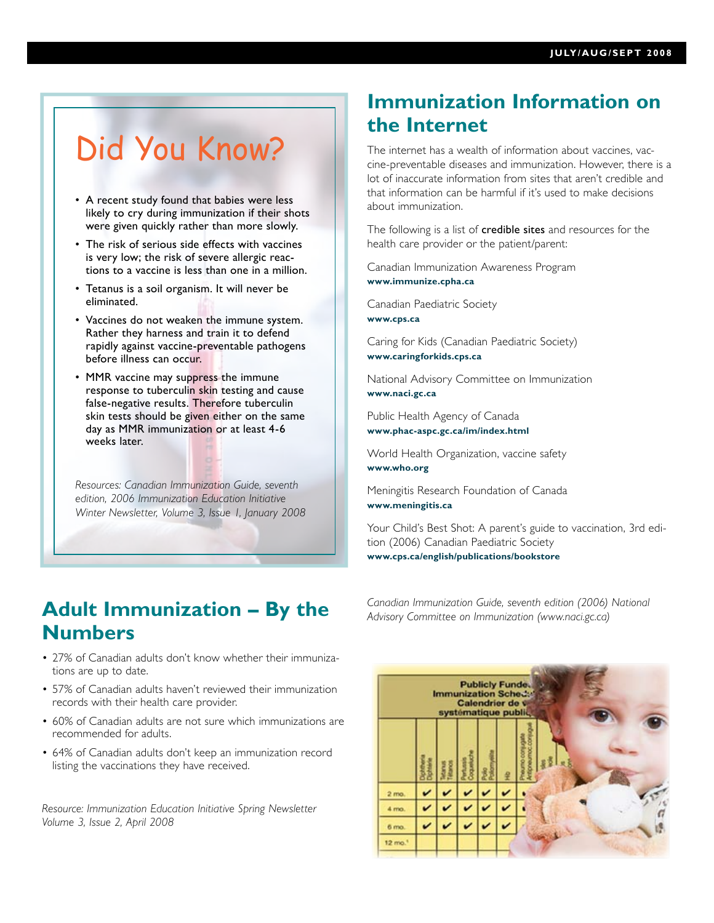## Did You Know?

- A recent study found that babies were less likely to cry during immunization if their shots were given quickly rather than more slowly.
- The risk of serious side effects with vaccines is very low; the risk of severe allergic reactions to a vaccine is less than one in a million.
- Tetanus is a soil organism. It will never be eliminated.
- Vaccines do not weaken the immune system. Rather they harness and train it to defend rapidly against vaccine-preventable pathogens before illness can occur.
- MMR vaccine may suppress the immune response to tuberculin skin testing and cause false-negative results. Therefore tuberculin skin tests should be given either on the same day as MMR immunization or at least 4-6 weeks later.

*Resources: Canadian Immunization Guide, seventh edition, 2006 Immunization Education Initiative Winter Newsletter, Volume 3, Issue 1, January 2008*

## **Immunization Information on the Internet**

The internet has a wealth of information about vaccines, vaccine-preventable diseases and immunization. However, there is a lot of inaccurate information from sites that aren't credible and that information can be harmful if it's used to make decisions about immunization.

The following is a list of credible sites and resources for the health care provider or the patient/parent:

Canadian Immunization Awareness Program **www.immunize.cpha.ca**

Canadian Paediatric Society

**www.cps.ca**

Caring for Kids (Canadian Paediatric Society) **www.caringforkids.cps.ca**

National Advisory Committee on Immunization **www.naci.gc.ca**

Public Health Agency of Canada **www.phac-aspc.gc.ca/im/index.html**

World Health Organization, vaccine safety **www.who.org**

Meningitis Research Foundation of Canada **www.meningitis.ca**

Your Child's Best Shot: A parent's guide to vaccination, 3rd edition (2006) Canadian Paediatric Society **www.cps.ca/english/publications/bookstore**

## **Adult Immunization – By the Numbers**

- 27% of Canadian adults don't know whether their immunizations are up to date.
- 57% of Canadian adults haven't reviewed their immunization records with their health care provider.
- 60% of Canadian adults are not sure which immunizations are recommended for adults.
- 64% of Canadian adults don't keep an immunization record listing the vaccinations they have received.

*Resource: Immunization Education Initiative Spring Newsletter Volume 3, Issue 2, April 2008*

*Canadian Immunization Guide, seventh edition (2006) National Advisory Committee on Immunization (www.naci.gc.ca)*